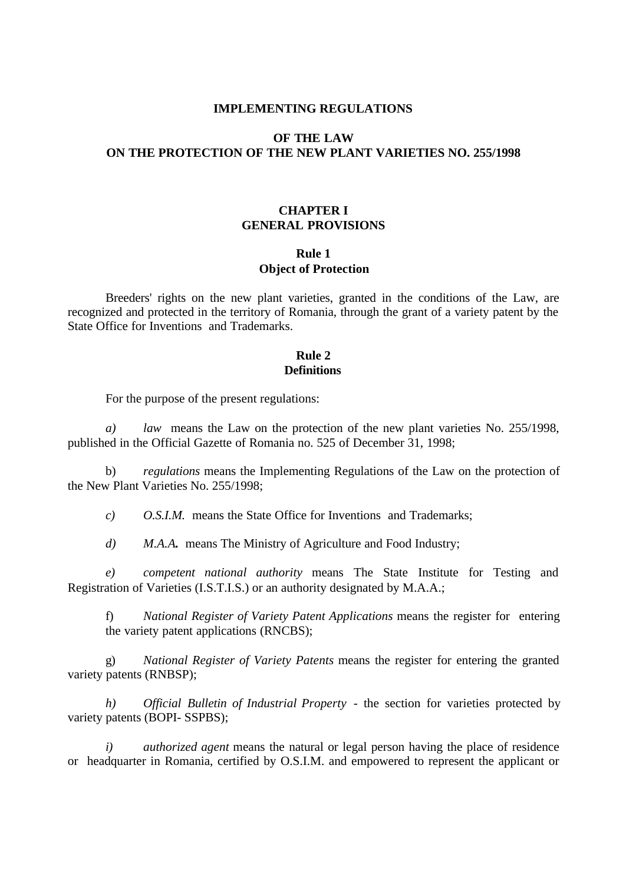#### **IMPLEMENTING REGULATIONS**

# **OF THE LAW ON THE PROTECTION OF THE NEW PLANT VARIETIES NO. 255/1998**

## **CHAPTER I GENERAL PROVISIONS**

#### **Rule 1 Object of Protection**

Breeders' rights on the new plant varieties, granted in the conditions of the Law, are recognized and protected in the territory of Romania, through the grant of a variety patent by the State Office for Inventions and Trademarks.

### **Rule 2 Definitions**

For the purpose of the present regulations:

*a) law* means the Law on the protection of the new plant varieties No. 255/1998, published in the Official Gazette of Romania no. 525 of December 31, 1998;

b) *regulations* means the Implementing Regulations of the Law on the protection of the New Plant Varieties No. 255/1998;

*c) O.S.I.M.* means the State Office for Inventions and Trademarks;

*d) M.A.A.* means The Ministry of Agriculture and Food Industry;

*e) competent national authority* means The State Institute for Testing and Registration of Varieties (I.S.T.I.S.) or an authority designated by M.A.A.;

f) *National Register of Variety Patent Applications* means the register for entering the variety patent applications (RNCBS);

g) *National Register of Variety Patents* means the register for entering the granted variety patents (RNBSP);

*h) Official Bulletin of Industrial Property* - the section for varieties protected by variety patents (BOPI- SSPBS);

*i) authorized agent* means the natural or legal person having the place of residence or headquarter in Romania, certified by O.S.I.M. and empowered to represent the applicant or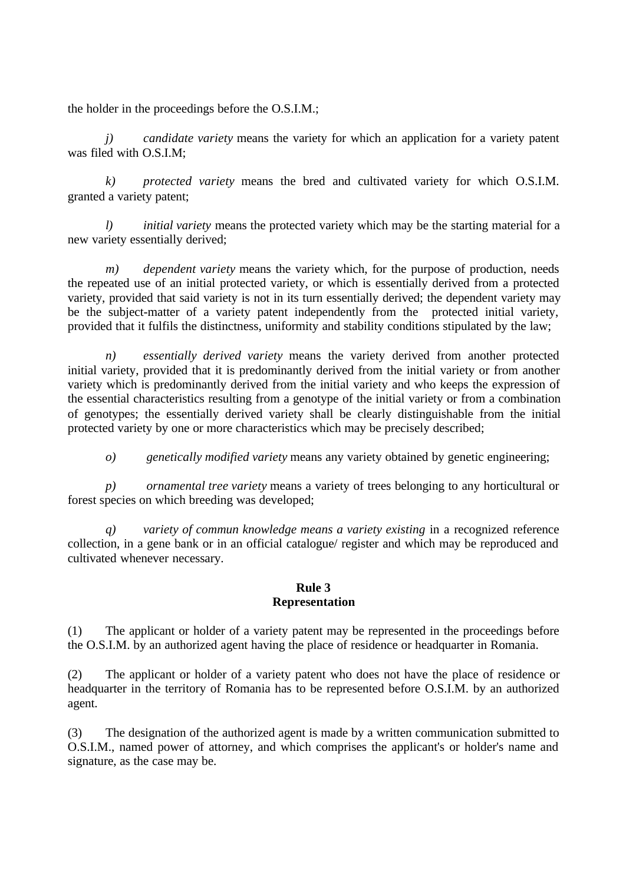the holder in the proceedings before the O.S.I.M.;

*j) candidate variety* means the variety for which an application for a variety patent was filed with O.S.I.M;

*k) protected variety* means the bred and cultivated variety for which O.S.I.M. granted a variety patent;

*l) initial variety* means the protected variety which may be the starting material for a new variety essentially derived;

*m) dependent variety* means the variety which, for the purpose of production, needs the repeated use of an initial protected variety, or which is essentially derived from a protected variety, provided that said variety is not in its turn essentially derived; the dependent variety may be the subject-matter of a variety patent independently from the protected initial variety, provided that it fulfils the distinctness, uniformity and stability conditions stipulated by the law;

*n) essentially derived variety* means the variety derived from another protected initial variety, provided that it is predominantly derived from the initial variety or from another variety which is predominantly derived from the initial variety and who keeps the expression of the essential characteristics resulting from a genotype of the initial variety or from a combination of genotypes; the essentially derived variety shall be clearly distinguishable from the initial protected variety by one or more characteristics which may be precisely described;

*o) genetically modified variety* means any variety obtained by genetic engineering;

*p) ornamental tree variety* means a variety of trees belonging to any horticultural or forest species on which breeding was developed;

*q) variety of commun knowledge means a variety existing* in a recognized reference collection, in a gene bank or in an official catalogue/ register and which may be reproduced and cultivated whenever necessary.

#### **Rule 3 Representation**

(1) The applicant or holder of a variety patent may be represented in the proceedings before the O.S.I.M. by an authorized agent having the place of residence or headquarter in Romania.

(2) The applicant or holder of a variety patent who does not have the place of residence or headquarter in the territory of Romania has to be represented before O.S.I.M. by an authorized agent.

(3) The designation of the authorized agent is made by a written communication submitted to O.S.I.M., named power of attorney, and which comprises the applicant's or holder's name and signature, as the case may be.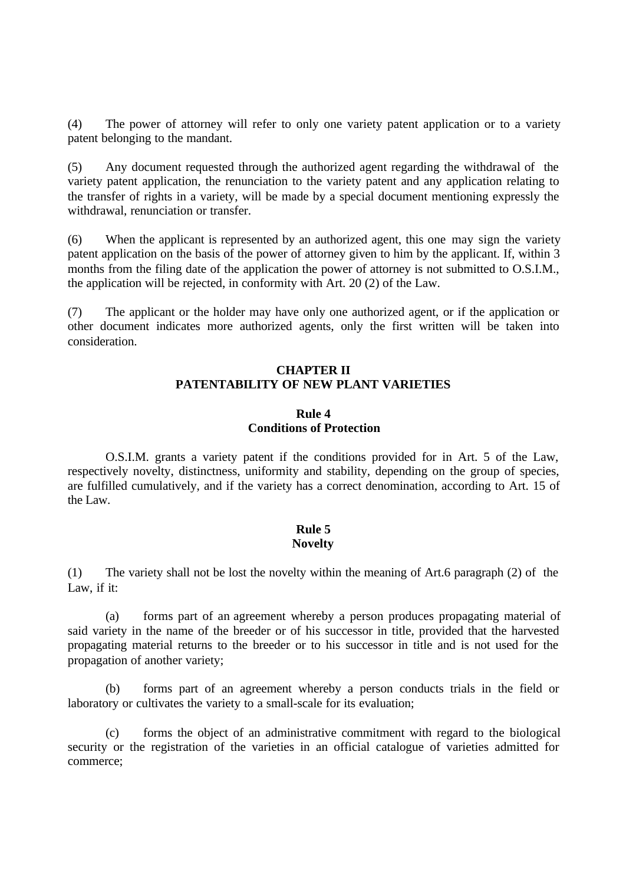(4) The power of attorney will refer to only one variety patent application or to a variety patent belonging to the mandant.

(5) Any document requested through the authorized agent regarding the withdrawal of the variety patent application, the renunciation to the variety patent and any application relating to the transfer of rights in a variety, will be made by a special document mentioning expressly the withdrawal, renunciation or transfer.

(6) When the applicant is represented by an authorized agent, this one may sign the variety patent application on the basis of the power of attorney given to him by the applicant. If, within 3 months from the filing date of the application the power of attorney is not submitted to O.S.I.M., the application will be rejected, in conformity with Art. 20 (2) of the Law.

(7) The applicant or the holder may have only one authorized agent, or if the application or other document indicates more authorized agents, only the first written will be taken into consideration.

### **CHAPTER II PATENTABILITY OF NEW PLANT VARIETIES**

#### **Rule 4 Conditions of Protection**

O.S.I.M. grants a variety patent if the conditions provided for in Art. 5 of the Law, respectively novelty, distinctness, uniformity and stability, depending on the group of species, are fulfilled cumulatively, and if the variety has a correct denomination, according to Art. 15 of the Law.

#### **Rule 5 Novelty**

(1) The variety shall not be lost the novelty within the meaning of Art.6 paragraph (2) of the Law, if it:

(a) forms part of an agreement whereby a person produces propagating material of said variety in the name of the breeder or of his successor in title, provided that the harvested propagating material returns to the breeder or to his successor in title and is not used for the propagation of another variety;

(b) forms part of an agreement whereby a person conducts trials in the field or laboratory or cultivates the variety to a small-scale for its evaluation;

(c) forms the object of an administrative commitment with regard to the biological security or the registration of the varieties in an official catalogue of varieties admitted for commerce;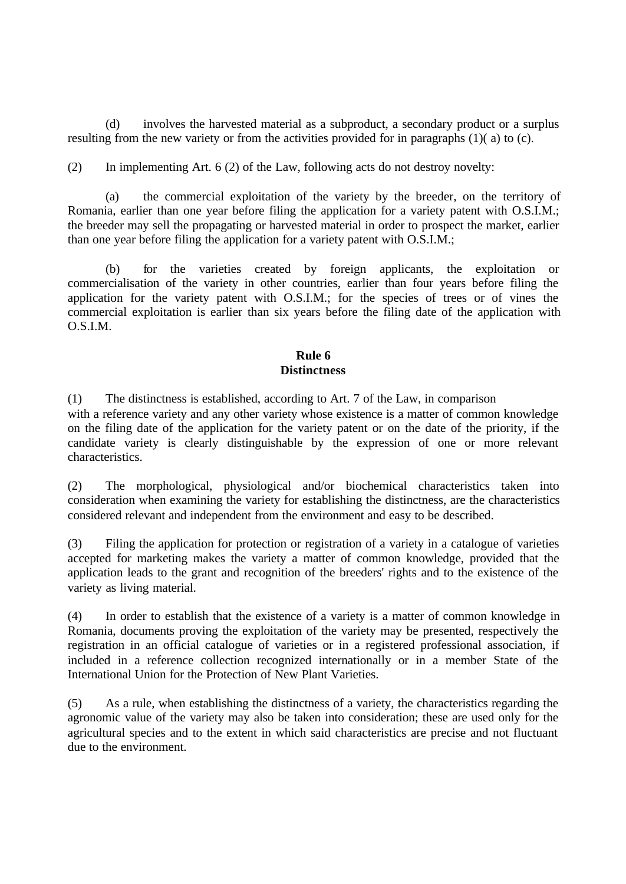(d) involves the harvested material as a subproduct, a secondary product or a surplus resulting from the new variety or from the activities provided for in paragraphs (1)( a) to (c).

(2) In implementing Art. 6 (2) of the Law, following acts do not destroy novelty:

(a) the commercial exploitation of the variety by the breeder, on the territory of Romania, earlier than one year before filing the application for a variety patent with O.S.I.M.; the breeder may sell the propagating or harvested material in order to prospect the market, earlier than one year before filing the application for a variety patent with O.S.I.M.;

(b) for the varieties created by foreign applicants, the exploitation or commercialisation of the variety in other countries, earlier than four years before filing the application for the variety patent with O.S.I.M.; for the species of trees or of vines the commercial exploitation is earlier than six years before the filing date of the application with O.S.I.M.

# **Rule 6 Distinctness**

(1) The distinctness is established, according to Art. 7 of the Law, in comparison with a reference variety and any other variety whose existence is a matter of common knowledge on the filing date of the application for the variety patent or on the date of the priority, if the candidate variety is clearly distinguishable by the expression of one or more relevant characteristics.

(2) The morphological, physiological and/or biochemical characteristics taken into consideration when examining the variety for establishing the distinctness, are the characteristics considered relevant and independent from the environment and easy to be described.

(3) Filing the application for protection or registration of a variety in a catalogue of varieties accepted for marketing makes the variety a matter of common knowledge, provided that the application leads to the grant and recognition of the breeders' rights and to the existence of the variety as living material.

(4) In order to establish that the existence of a variety is a matter of common knowledge in Romania, documents proving the exploitation of the variety may be presented, respectively the registration in an official catalogue of varieties or in a registered professional association, if included in a reference collection recognized internationally or in a member State of the International Union for the Protection of New Plant Varieties.

(5) As a rule, when establishing the distinctness of a variety, the characteristics regarding the agronomic value of the variety may also be taken into consideration; these are used only for the agricultural species and to the extent in which said characteristics are precise and not fluctuant due to the environment.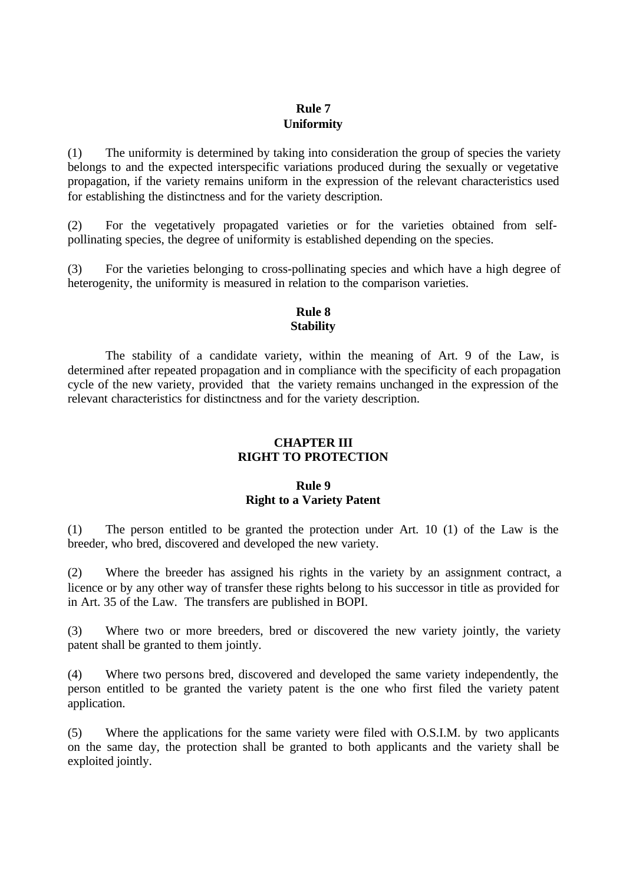## **Rule 7 Uniformity**

(1) The uniformity is determined by taking into consideration the group of species the variety belongs to and the expected interspecific variations produced during the sexually or vegetative propagation, if the variety remains uniform in the expression of the relevant characteristics used for establishing the distinctness and for the variety description.

(2) For the vegetatively propagated varieties or for the varieties obtained from selfpollinating species, the degree of uniformity is established depending on the species.

(3) For the varieties belonging to cross-pollinating species and which have a high degree of heterogenity, the uniformity is measured in relation to the comparison varieties.

#### **Rule 8 Stability**

The stability of a candidate variety, within the meaning of Art. 9 of the Law, is determined after repeated propagation and in compliance with the specificity of each propagation cycle of the new variety, provided that the variety remains unchanged in the expression of the relevant characteristics for distinctness and for the variety description.

## **CHAPTER III RIGHT TO PROTECTION**

# **Rule 9 Right to a Variety Patent**

(1) The person entitled to be granted the protection under Art. 10 (1) of the Law is the breeder, who bred, discovered and developed the new variety.

(2) Where the breeder has assigned his rights in the variety by an assignment contract, a licence or by any other way of transfer these rights belong to his successor in title as provided for in Art. 35 of the Law. The transfers are published in BOPI.

(3) Where two or more breeders, bred or discovered the new variety jointly, the variety patent shall be granted to them jointly.

(4) Where two persons bred, discovered and developed the same variety independently, the person entitled to be granted the variety patent is the one who first filed the variety patent application.

(5) Where the applications for the same variety were filed with O.S.I.M. by two applicants on the same day, the protection shall be granted to both applicants and the variety shall be exploited jointly.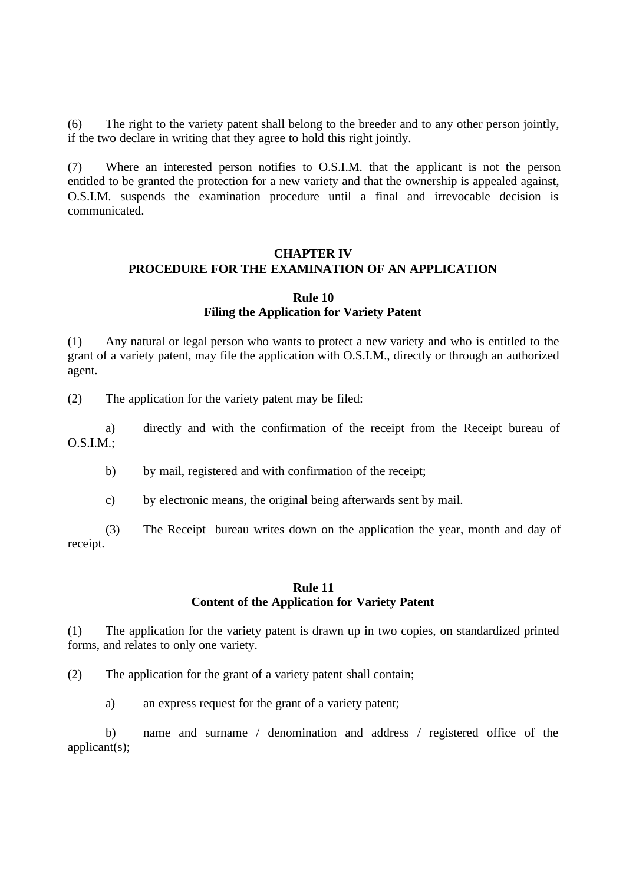(6) The right to the variety patent shall belong to the breeder and to any other person jointly, if the two declare in writing that they agree to hold this right jointly.

(7) Where an interested person notifies to O.S.I.M. that the applicant is not the person entitled to be granted the protection for a new variety and that the ownership is appealed against, O.S.I.M. suspends the examination procedure until a final and irrevocable decision is communicated.

## **CHAPTER IV PROCEDURE FOR THE EXAMINATION OF AN APPLICATION**

#### **Rule 10 Filing the Application for Variety Patent**

(1) Any natural or legal person who wants to protect a new variety and who is entitled to the grant of a variety patent, may file the application with O.S.I.M., directly or through an authorized agent.

(2) The application for the variety patent may be filed:

a) directly and with the confirmation of the receipt from the Receipt bureau of O.S.I.M.;

b) by mail, registered and with confirmation of the receipt;

c) by electronic means, the original being afterwards sent by mail.

(3) The Receipt bureau writes down on the application the year, month and day of receipt.

#### **Rule 11 Content of the Application for Variety Patent**

(1) The application for the variety patent is drawn up in two copies, on standardized printed forms, and relates to only one variety.

(2) The application for the grant of a variety patent shall contain;

a) an express request for the grant of a variety patent;

b) name and surname / denomination and address / registered office of the applicant(s);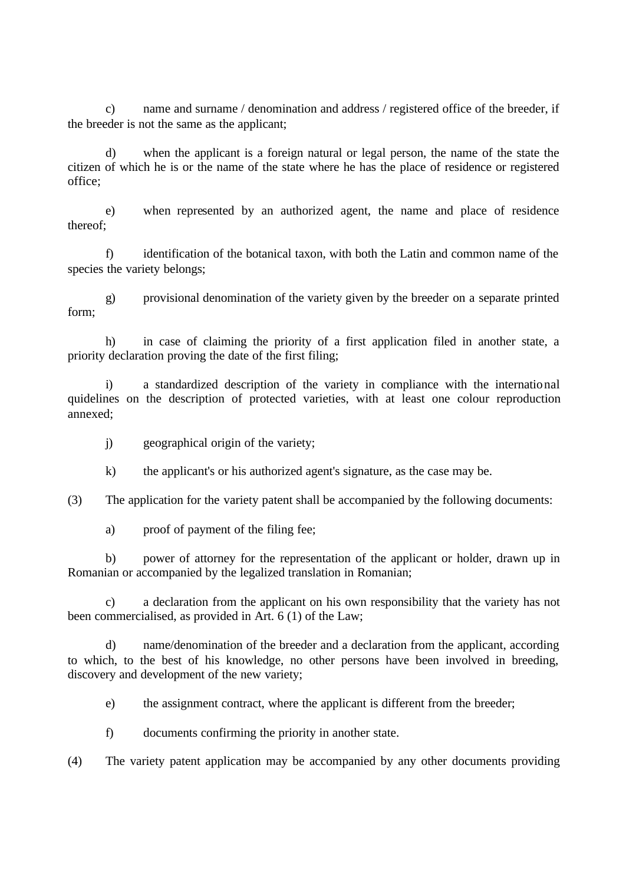c) name and surname / denomination and address / registered office of the breeder, if the breeder is not the same as the applicant;

d) when the applicant is a foreign natural or legal person, the name of the state the citizen of which he is or the name of the state where he has the place of residence or registered office;

e) when represented by an authorized agent, the name and place of residence thereof;

f) identification of the botanical taxon, with both the Latin and common name of the species the variety belongs;

g) provisional denomination of the variety given by the breeder on a separate printed form;

h) in case of claiming the priority of a first application filed in another state, a priority declaration proving the date of the first filing;

i) a standardized description of the variety in compliance with the international quidelines on the description of protected varieties, with at least one colour reproduction annexed;

j) geographical origin of the variety;

k) the applicant's or his authorized agent's signature, as the case may be.

(3) The application for the variety patent shall be accompanied by the following documents:

a) proof of payment of the filing fee;

b) power of attorney for the representation of the applicant or holder, drawn up in Romanian or accompanied by the legalized translation in Romanian;

c) a declaration from the applicant on his own responsibility that the variety has not been commercialised, as provided in Art. 6 (1) of the Law;

d) name/denomination of the breeder and a declaration from the applicant, according to which, to the best of his knowledge, no other persons have been involved in breeding, discovery and development of the new variety;

e) the assignment contract, where the applicant is different from the breeder;

f) documents confirming the priority in another state.

(4) The variety patent application may be accompanied by any other documents providing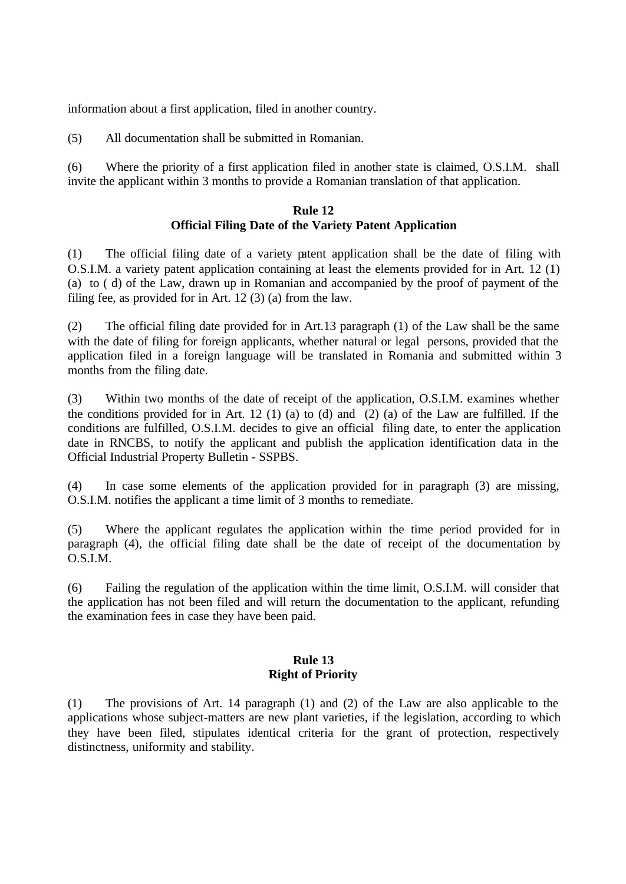information about a first application, filed in another country.

(5) All documentation shall be submitted in Romanian.

(6) Where the priority of a first application filed in another state is claimed, O.S.I.M. shall invite the applicant within 3 months to provide a Romanian translation of that application.

## **Rule 12 Official Filing Date of the Variety Patent Application**

(1) The official filing date of a variety patent application shall be the date of filing with O.S.I.M. a variety patent application containing at least the elements provided for in Art. 12 (1) (a) to ( d) of the Law, drawn up in Romanian and accompanied by the proof of payment of the filing fee, as provided for in Art. 12 (3) (a) from the law.

(2) The official filing date provided for in Art.13 paragraph (1) of the Law shall be the same with the date of filing for foreign applicants, whether natural or legal persons, provided that the application filed in a foreign language will be translated in Romania and submitted within 3 months from the filing date.

(3) Within two months of the date of receipt of the application, O.S.I.M. examines whether the conditions provided for in Art. 12 (1) (a) to (d) and (2) (a) of the Law are fulfilled. If the conditions are fulfilled, O.S.I.M. decides to give an official filing date, to enter the application date in RNCBS, to notify the applicant and publish the application identification data in the Official Industrial Property Bulletin - SSPBS.

(4) In case some elements of the application provided for in paragraph (3) are missing, O.S.I.M. notifies the applicant a time limit of 3 months to remediate.

(5) Where the applicant regulates the application within the time period provided for in paragraph (4), the official filing date shall be the date of receipt of the documentation by O.S.I.M.

(6) Failing the regulation of the application within the time limit, O.S.I.M. will consider that the application has not been filed and will return the documentation to the applicant, refunding the examination fees in case they have been paid.

## **Rule 13 Right of Priority**

(1) The provisions of Art. 14 paragraph (1) and (2) of the Law are also applicable to the applications whose subject-matters are new plant varieties, if the legislation, according to which they have been filed, stipulates identical criteria for the grant of protection, respectively distinctness, uniformity and stability.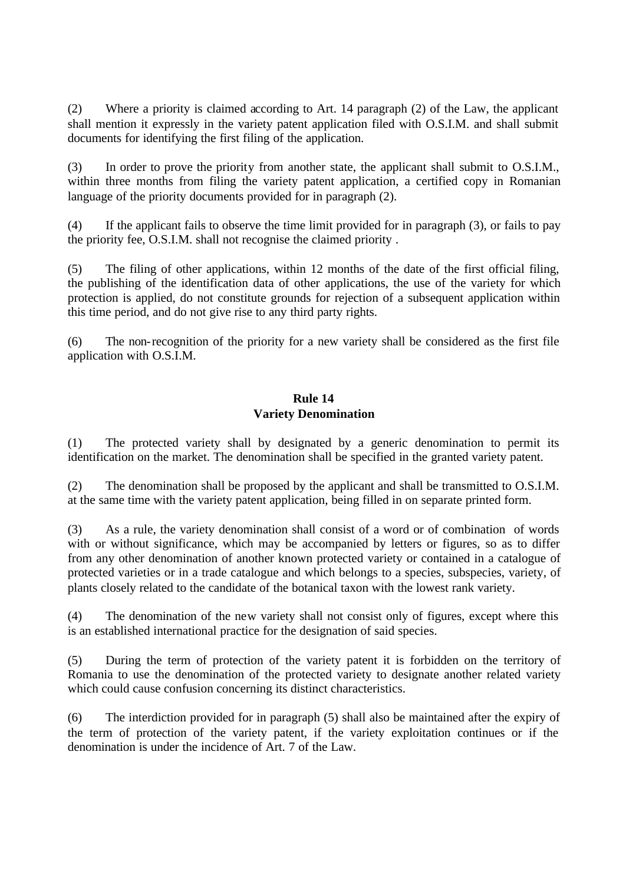(2) Where a priority is claimed according to Art. 14 paragraph (2) of the Law, the applicant shall mention it expressly in the variety patent application filed with O.S.I.M. and shall submit documents for identifying the first filing of the application.

(3) In order to prove the priority from another state, the applicant shall submit to O.S.I.M., within three months from filing the variety patent application, a certified copy in Romanian language of the priority documents provided for in paragraph (2).

(4) If the applicant fails to observe the time limit provided for in paragraph (3), or fails to pay the priority fee, O.S.I.M. shall not recognise the claimed priority .

(5) The filing of other applications, within 12 months of the date of the first official filing, the publishing of the identification data of other applications, the use of the variety for which protection is applied, do not constitute grounds for rejection of a subsequent application within this time period, and do not give rise to any third party rights.

(6) The non-recognition of the priority for a new variety shall be considered as the first file application with O.S.I.M.

## **Rule 14 Variety Denomination**

(1) The protected variety shall by designated by a generic denomination to permit its identification on the market. The denomination shall be specified in the granted variety patent.

(2) The denomination shall be proposed by the applicant and shall be transmitted to O.S.I.M. at the same time with the variety patent application, being filled in on separate printed form.

(3) As a rule, the variety denomination shall consist of a word or of combination of words with or without significance, which may be accompanied by letters or figures, so as to differ from any other denomination of another known protected variety or contained in a catalogue of protected varieties or in a trade catalogue and which belongs to a species, subspecies, variety, of plants closely related to the candidate of the botanical taxon with the lowest rank variety.

(4) The denomination of the new variety shall not consist only of figures, except where this is an established international practice for the designation of said species.

(5) During the term of protection of the variety patent it is forbidden on the territory of Romania to use the denomination of the protected variety to designate another related variety which could cause confusion concerning its distinct characteristics.

(6) The interdiction provided for in paragraph (5) shall also be maintained after the expiry of the term of protection of the variety patent, if the variety exploitation continues or if the denomination is under the incidence of Art. 7 of the Law.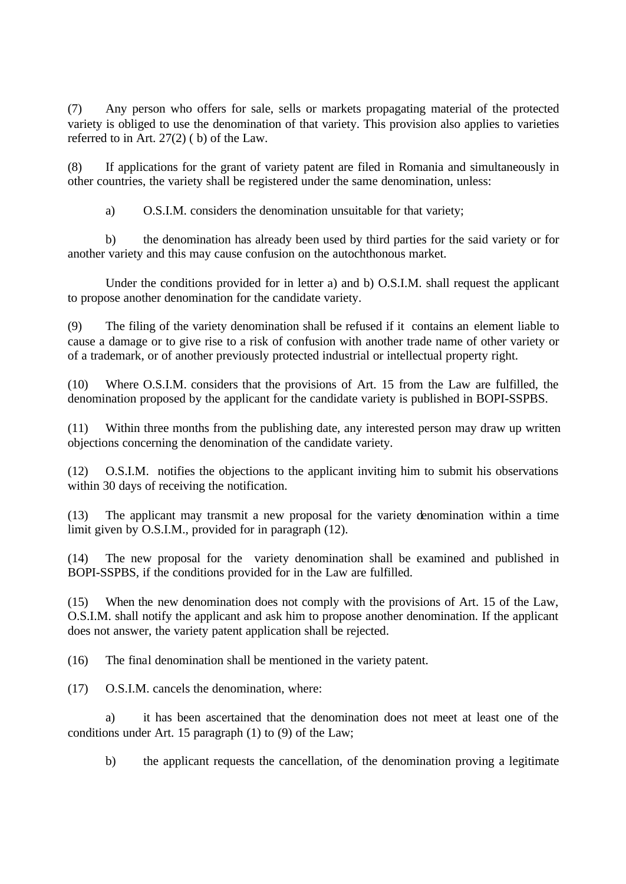(7) Any person who offers for sale, sells or markets propagating material of the protected variety is obliged to use the denomination of that variety. This provision also applies to varieties referred to in Art. 27(2) ( b) of the Law.

(8) If applications for the grant of variety patent are filed in Romania and simultaneously in other countries, the variety shall be registered under the same denomination, unless:

a) O.S.I.M. considers the denomination unsuitable for that variety;

b) the denomination has already been used by third parties for the said variety or for another variety and this may cause confusion on the autochthonous market.

Under the conditions provided for in letter a) and b) O.S.I.M. shall request the applicant to propose another denomination for the candidate variety.

(9) The filing of the variety denomination shall be refused if it contains an element liable to cause a damage or to give rise to a risk of confusion with another trade name of other variety or of a trademark, or of another previously protected industrial or intellectual property right.

(10) Where O.S.I.M. considers that the provisions of Art. 15 from the Law are fulfilled, the denomination proposed by the applicant for the candidate variety is published in BOPI-SSPBS.

(11) Within three months from the publishing date, any interested person may draw up written objections concerning the denomination of the candidate variety.

(12) O.S.I.M. notifies the objections to the applicant inviting him to submit his observations within 30 days of receiving the notification.

(13) The applicant may transmit a new proposal for the variety denomination within a time limit given by O.S.I.M., provided for in paragraph (12).

(14) The new proposal for the variety denomination shall be examined and published in BOPI-SSPBS, if the conditions provided for in the Law are fulfilled.

(15) When the new denomination does not comply with the provisions of Art. 15 of the Law, O.S.I.M. shall notify the applicant and ask him to propose another denomination. If the applicant does not answer, the variety patent application shall be rejected.

(16) The final denomination shall be mentioned in the variety patent.

(17) O.S.I.M. cancels the denomination, where:

a) it has been ascertained that the denomination does not meet at least one of the conditions under Art. 15 paragraph (1) to (9) of the Law;

b) the applicant requests the cancellation, of the denomination proving a legitimate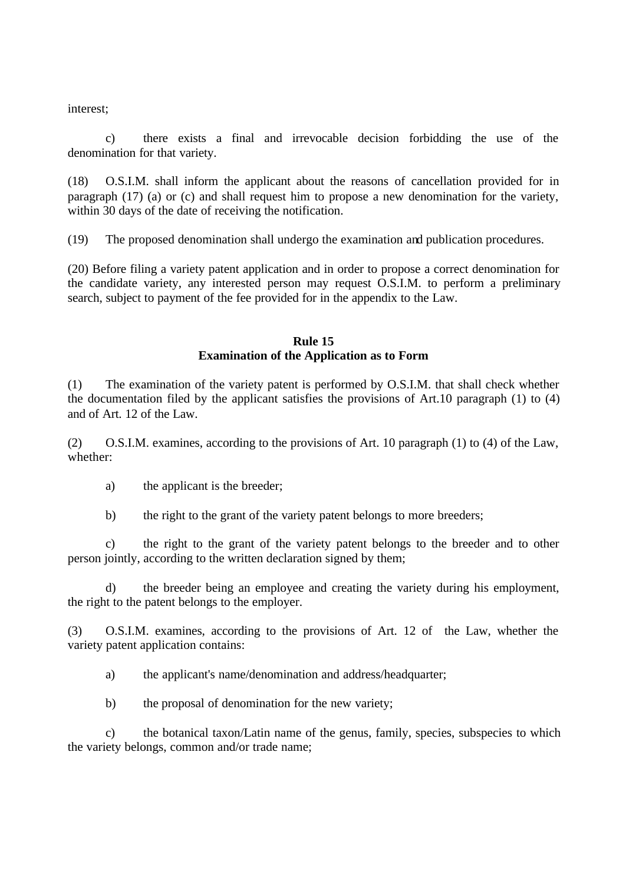interest;

c) there exists a final and irrevocable decision forbidding the use of the denomination for that variety.

(18) O.S.I.M. shall inform the applicant about the reasons of cancellation provided for in paragraph (17) (a) or (c) and shall request him to propose a new denomination for the variety, within 30 days of the date of receiving the notification.

(19) The proposed denomination shall undergo the examination and publication procedures.

(20) Before filing a variety patent application and in order to propose a correct denomination for the candidate variety, any interested person may request O.S.I.M. to perform a preliminary search, subject to payment of the fee provided for in the appendix to the Law.

## **Rule 15 Examination of the Application as to Form**

(1) The examination of the variety patent is performed by O.S.I.M. that shall check whether the documentation filed by the applicant satisfies the provisions of Art.10 paragraph (1) to (4) and of Art. 12 of the Law.

(2) O.S.I.M. examines, according to the provisions of Art. 10 paragraph (1) to (4) of the Law, whether:

- a) the applicant is the breeder;
- b) the right to the grant of the variety patent belongs to more breeders;

c) the right to the grant of the variety patent belongs to the breeder and to other person jointly, according to the written declaration signed by them;

d) the breeder being an employee and creating the variety during his employment, the right to the patent belongs to the employer.

(3) O.S.I.M. examines, according to the provisions of Art. 12 of the Law, whether the variety patent application contains:

a) the applicant's name/denomination and address/headquarter;

b) the proposal of denomination for the new variety;

c) the botanical taxon/Latin name of the genus, family, species, subspecies to which the variety belongs, common and/or trade name;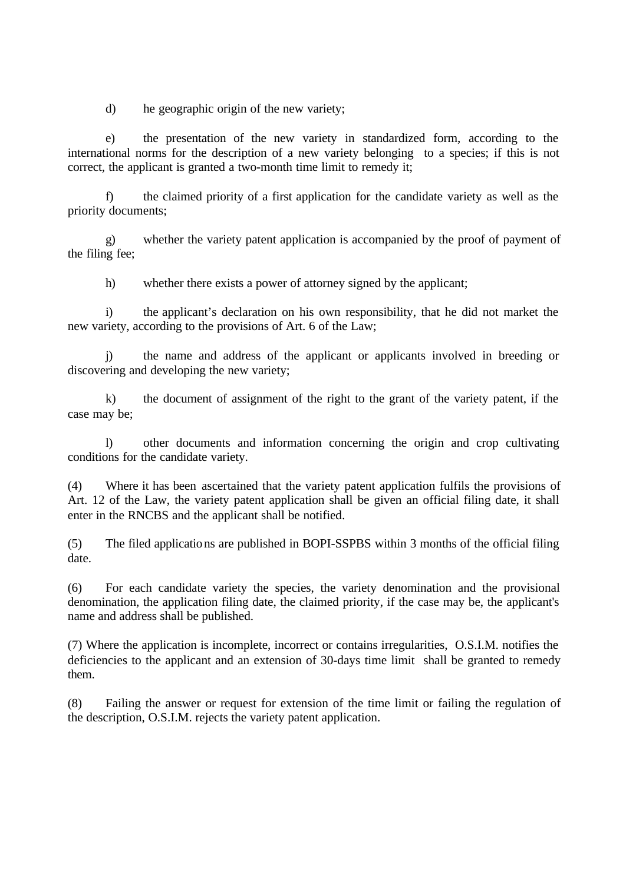d) he geographic origin of the new variety;

e) the presentation of the new variety in standardized form, according to the international norms for the description of a new variety belonging to a species; if this is not correct, the applicant is granted a two-month time limit to remedy it;

f) the claimed priority of a first application for the candidate variety as well as the priority documents;

g) whether the variety patent application is accompanied by the proof of payment of the filing fee;

h) whether there exists a power of attorney signed by the applicant;

i) the applicant's declaration on his own responsibility, that he did not market the new variety, according to the provisions of Art. 6 of the Law;

j) the name and address of the applicant or applicants involved in breeding or discovering and developing the new variety;

k) the document of assignment of the right to the grant of the variety patent, if the case may be;

l) other documents and information concerning the origin and crop cultivating conditions for the candidate variety.

(4) Where it has been ascertained that the variety patent application fulfils the provisions of Art. 12 of the Law, the variety patent application shall be given an official filing date, it shall enter in the RNCBS and the applicant shall be notified.

(5) The filed applications are published in BOPI-SSPBS within 3 months of the official filing date.

(6) For each candidate variety the species, the variety denomination and the provisional denomination, the application filing date, the claimed priority, if the case may be, the applicant's name and address shall be published.

(7) Where the application is incomplete, incorrect or contains irregularities, O.S.I.M. notifies the deficiencies to the applicant and an extension of 30-days time limit shall be granted to remedy them.

(8) Failing the answer or request for extension of the time limit or failing the regulation of the description, O.S.I.M. rejects the variety patent application.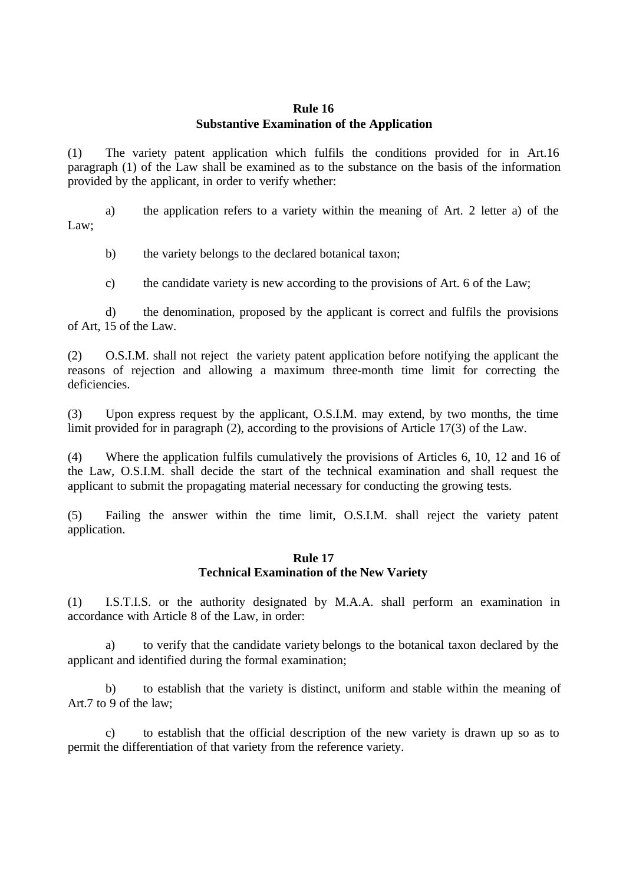## **Rule 16 Substantive Examination of the Application**

(1) The variety patent application which fulfils the conditions provided for in Art.16 paragraph (1) of the Law shall be examined as to the substance on the basis of the information provided by the applicant, in order to verify whether:

a) the application refers to a variety within the meaning of Art. 2 letter a) of the Law;

b) the variety belongs to the declared botanical taxon;

c) the candidate variety is new according to the provisions of Art. 6 of the Law;

d) the denomination, proposed by the applicant is correct and fulfils the provisions of Art, 15 of the Law.

(2) O.S.I.M. shall not reject the variety patent application before notifying the applicant the reasons of rejection and allowing a maximum three-month time limit for correcting the deficiencies.

(3) Upon express request by the applicant, O.S.I.M. may extend, by two months, the time limit provided for in paragraph (2), according to the provisions of Article 17(3) of the Law.

(4) Where the application fulfils cumulatively the provisions of Articles 6, 10, 12 and 16 of the Law, O.S.I.M. shall decide the start of the technical examination and shall request the applicant to submit the propagating material necessary for conducting the growing tests.

(5) Failing the answer within the time limit, O.S.I.M. shall reject the variety patent application.

#### **Rule 17 Technical Examination of the New Variety**

(1) I.S.T.I.S. or the authority designated by M.A.A. shall perform an examination in accordance with Article 8 of the Law, in order:

a) to verify that the candidate variety belongs to the botanical taxon declared by the applicant and identified during the formal examination;

b) to establish that the variety is distinct, uniform and stable within the meaning of Art.7 to 9 of the law;

c) to establish that the official description of the new variety is drawn up so as to permit the differentiation of that variety from the reference variety.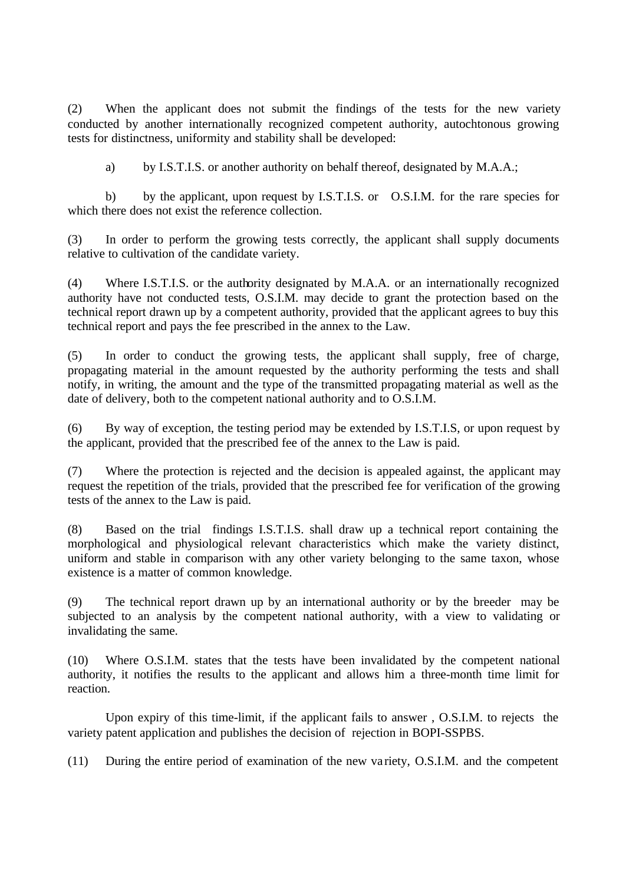(2) When the applicant does not submit the findings of the tests for the new variety conducted by another internationally recognized competent authority, autochtonous growing tests for distinctness, uniformity and stability shall be developed:

a) by I.S.T.I.S. or another authority on behalf thereof, designated by M.A.A.;

b) by the applicant, upon request by I.S.T.I.S. or O.S.I.M. for the rare species for which there does not exist the reference collection.

(3) In order to perform the growing tests correctly, the applicant shall supply documents relative to cultivation of the candidate variety.

(4) Where I.S.T.I.S. or the authority designated by M.A.A. or an internationally recognized authority have not conducted tests, O.S.I.M. may decide to grant the protection based on the technical report drawn up by a competent authority, provided that the applicant agrees to buy this technical report and pays the fee prescribed in the annex to the Law.

(5) In order to conduct the growing tests, the applicant shall supply, free of charge, propagating material in the amount requested by the authority performing the tests and shall notify, in writing, the amount and the type of the transmitted propagating material as well as the date of delivery, both to the competent national authority and to O.S.I.M.

(6) By way of exception, the testing period may be extended by I.S.T.I.S, or upon request by the applicant, provided that the prescribed fee of the annex to the Law is paid.

(7) Where the protection is rejected and the decision is appealed against, the applicant may request the repetition of the trials, provided that the prescribed fee for verification of the growing tests of the annex to the Law is paid.

(8) Based on the trial findings I.S.T.I.S. shall draw up a technical report containing the morphological and physiological relevant characteristics which make the variety distinct, uniform and stable in comparison with any other variety belonging to the same taxon, whose existence is a matter of common knowledge.

(9) The technical report drawn up by an international authority or by the breeder may be subjected to an analysis by the competent national authority, with a view to validating or invalidating the same.

(10) Where O.S.I.M. states that the tests have been invalidated by the competent national authority, it notifies the results to the applicant and allows him a three-month time limit for reaction.

Upon expiry of this time-limit, if the applicant fails to answer , O.S.I.M. to rejects the variety patent application and publishes the decision of rejection in BOPI-SSPBS.

(11) During the entire period of examination of the new va riety, O.S.I.M. and the competent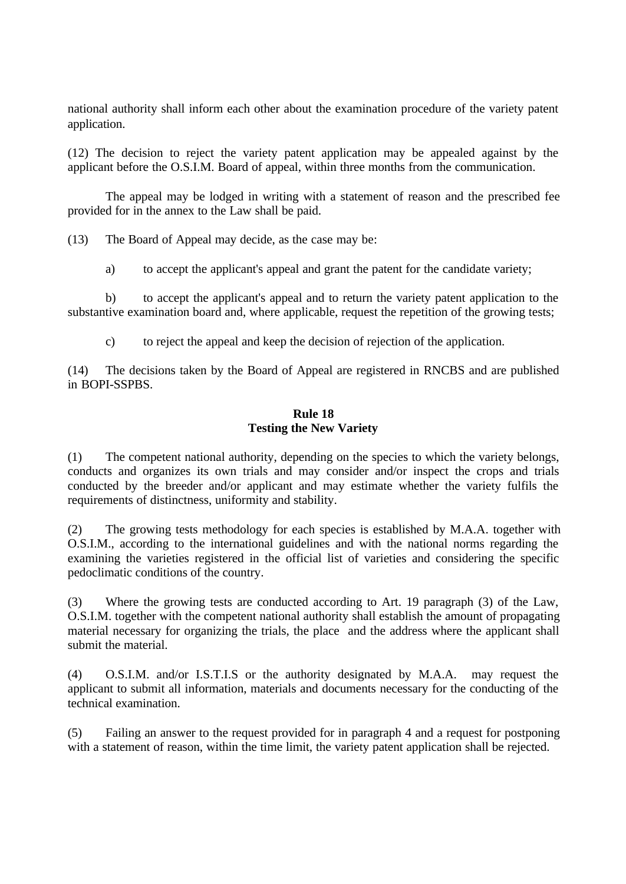national authority shall inform each other about the examination procedure of the variety patent application.

(12) The decision to reject the variety patent application may be appealed against by the applicant before the O.S.I.M. Board of appeal, within three months from the communication.

The appeal may be lodged in writing with a statement of reason and the prescribed fee provided for in the annex to the Law shall be paid.

(13) The Board of Appeal may decide, as the case may be:

a) to accept the applicant's appeal and grant the patent for the candidate variety;

b) to accept the applicant's appeal and to return the variety patent application to the substantive examination board and, where applicable, request the repetition of the growing tests;

c) to reject the appeal and keep the decision of rejection of the application.

(14) The decisions taken by the Board of Appeal are registered in RNCBS and are published in BOPI-SSPBS.

#### **Rule 18 Testing the New Variety**

(1) The competent national authority, depending on the species to which the variety belongs, conducts and organizes its own trials and may consider and/or inspect the crops and trials conducted by the breeder and/or applicant and may estimate whether the variety fulfils the requirements of distinctness, uniformity and stability.

(2) The growing tests methodology for each species is established by M.A.A. together with O.S.I.M., according to the international guidelines and with the national norms regarding the examining the varieties registered in the official list of varieties and considering the specific pedoclimatic conditions of the country.

(3) Where the growing tests are conducted according to Art. 19 paragraph (3) of the Law, O.S.I.M. together with the competent national authority shall establish the amount of propagating material necessary for organizing the trials, the place and the address where the applicant shall submit the material.

(4) O.S.I.M. and/or I.S.T.I.S or the authority designated by M.A.A. may request the applicant to submit all information, materials and documents necessary for the conducting of the technical examination.

(5) Failing an answer to the request provided for in paragraph 4 and a request for postponing with a statement of reason, within the time limit, the variety patent application shall be rejected.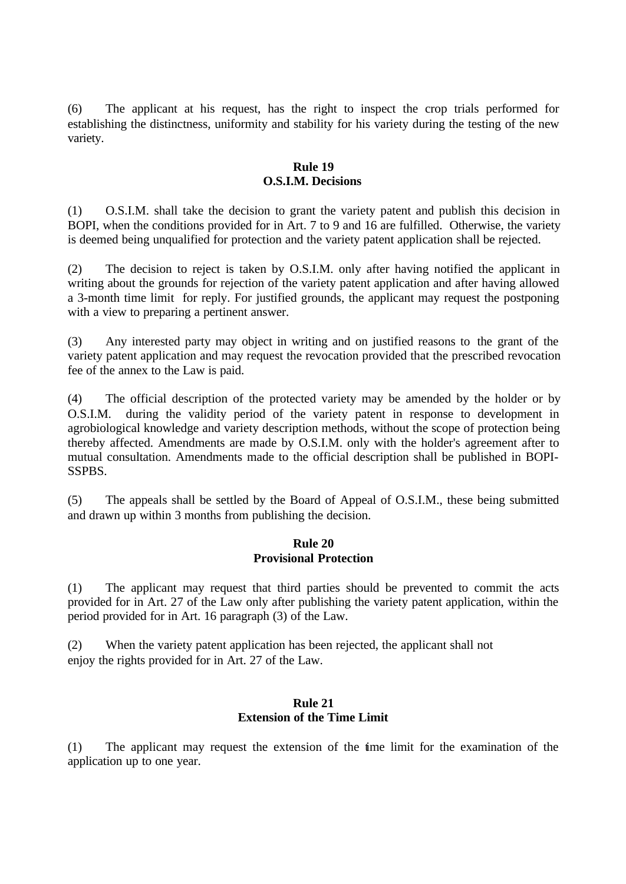(6) The applicant at his request, has the right to inspect the crop trials performed for establishing the distinctness, uniformity and stability for his variety during the testing of the new variety.

### **Rule 19 O.S.I.M. Decisions**

(1) O.S.I.M. shall take the decision to grant the variety patent and publish this decision in BOPI, when the conditions provided for in Art. 7 to 9 and 16 are fulfilled. Otherwise, the variety is deemed being unqualified for protection and the variety patent application shall be rejected.

(2) The decision to reject is taken by O.S.I.M. only after having notified the applicant in writing about the grounds for rejection of the variety patent application and after having allowed a 3-month time limit for reply. For justified grounds, the applicant may request the postponing with a view to preparing a pertinent answer.

(3) Any interested party may object in writing and on justified reasons to the grant of the variety patent application and may request the revocation provided that the prescribed revocation fee of the annex to the Law is paid.

(4) The official description of the protected variety may be amended by the holder or by O.S.I.M. during the validity period of the variety patent in response to development in agrobiological knowledge and variety description methods, without the scope of protection being thereby affected. Amendments are made by O.S.I.M. only with the holder's agreement after to mutual consultation. Amendments made to the official description shall be published in BOPI-SSPBS.

(5) The appeals shall be settled by the Board of Appeal of O.S.I.M., these being submitted and drawn up within 3 months from publishing the decision.

## **Rule 20 Provisional Protection**

(1) The applicant may request that third parties should be prevented to commit the acts provided for in Art. 27 of the Law only after publishing the variety patent application, within the period provided for in Art. 16 paragraph (3) of the Law.

(2) When the variety patent application has been rejected, the applicant shall not enjoy the rights provided for in Art. 27 of the Law.

#### **Rule 21 Extension of the Time Limit**

(1) The applicant may request the extension of the time limit for the examination of the application up to one year.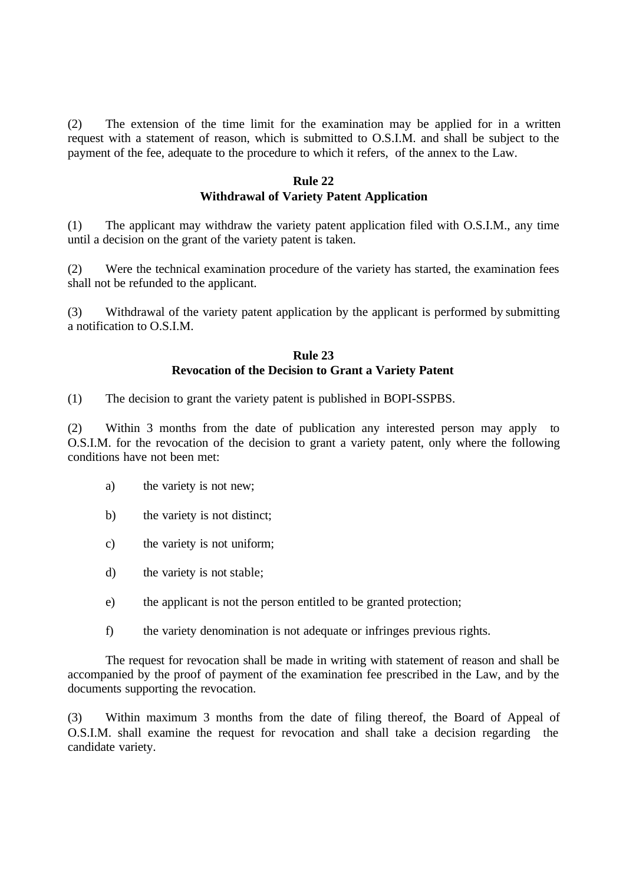(2) The extension of the time limit for the examination may be applied for in a written request with a statement of reason, which is submitted to O.S.I.M. and shall be subject to the payment of the fee, adequate to the procedure to which it refers, of the annex to the Law.

#### **Rule 22 Withdrawal of Variety Patent Application**

(1) The applicant may withdraw the variety patent application filed with O.S.I.M., any time until a decision on the grant of the variety patent is taken.

(2) Were the technical examination procedure of the variety has started, the examination fees shall not be refunded to the applicant.

(3) Withdrawal of the variety patent application by the applicant is performed by submitting a notification to O.S.I.M.

#### **Rule 23 Revocation of the Decision to Grant a Variety Patent**

(1) The decision to grant the variety patent is published in BOPI-SSPBS.

(2) Within 3 months from the date of publication any interested person may apply to O.S.I.M. for the revocation of the decision to grant a variety patent, only where the following conditions have not been met:

- a) the variety is not new;
- b) the variety is not distinct;
- c) the variety is not uniform;
- d) the variety is not stable;
- e) the applicant is not the person entitled to be granted protection;
- f) the variety denomination is not adequate or infringes previous rights.

The request for revocation shall be made in writing with statement of reason and shall be accompanied by the proof of payment of the examination fee prescribed in the Law, and by the documents supporting the revocation.

(3) Within maximum 3 months from the date of filing thereof, the Board of Appeal of O.S.I.M. shall examine the request for revocation and shall take a decision regarding the candidate variety.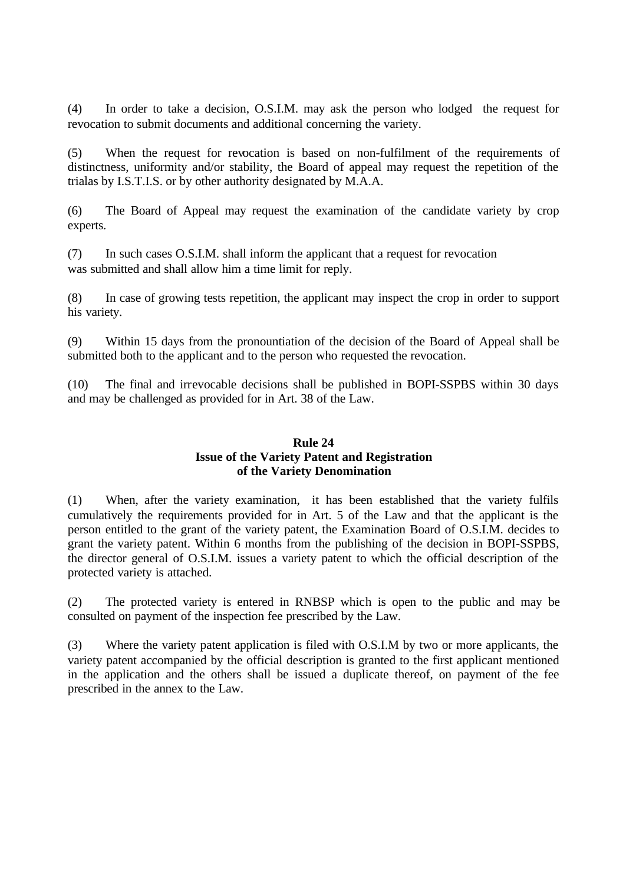(4) In order to take a decision, O.S.I.M. may ask the person who lodged the request for revocation to submit documents and additional concerning the variety.

(5) When the request for revocation is based on non-fulfilment of the requirements of distinctness, uniformity and/or stability, the Board of appeal may request the repetition of the trialas by I.S.T.I.S. or by other authority designated by M.A.A.

(6) The Board of Appeal may request the examination of the candidate variety by crop experts.

(7) In such cases O.S.I.M. shall inform the applicant that a request for revocation was submitted and shall allow him a time limit for reply.

(8) In case of growing tests repetition, the applicant may inspect the crop in order to support his variety.

(9) Within 15 days from the pronountiation of the decision of the Board of Appeal shall be submitted both to the applicant and to the person who requested the revocation.

(10) The final and irrevocable decisions shall be published in BOPI-SSPBS within 30 days and may be challenged as provided for in Art. 38 of the Law.

## **Rule 24 Issue of the Variety Patent and Registration of the Variety Denomination**

(1) When, after the variety examination, it has been established that the variety fulfils cumulatively the requirements provided for in Art. 5 of the Law and that the applicant is the person entitled to the grant of the variety patent, the Examination Board of O.S.I.M. decides to grant the variety patent. Within 6 months from the publishing of the decision in BOPI-SSPBS, the director general of O.S.I.M. issues a variety patent to which the official description of the protected variety is attached.

(2) The protected variety is entered in RNBSP which is open to the public and may be consulted on payment of the inspection fee prescribed by the Law.

(3) Where the variety patent application is filed with O.S.I.M by two or more applicants, the variety patent accompanied by the official description is granted to the first applicant mentioned in the application and the others shall be issued a duplicate thereof, on payment of the fee prescribed in the annex to the Law.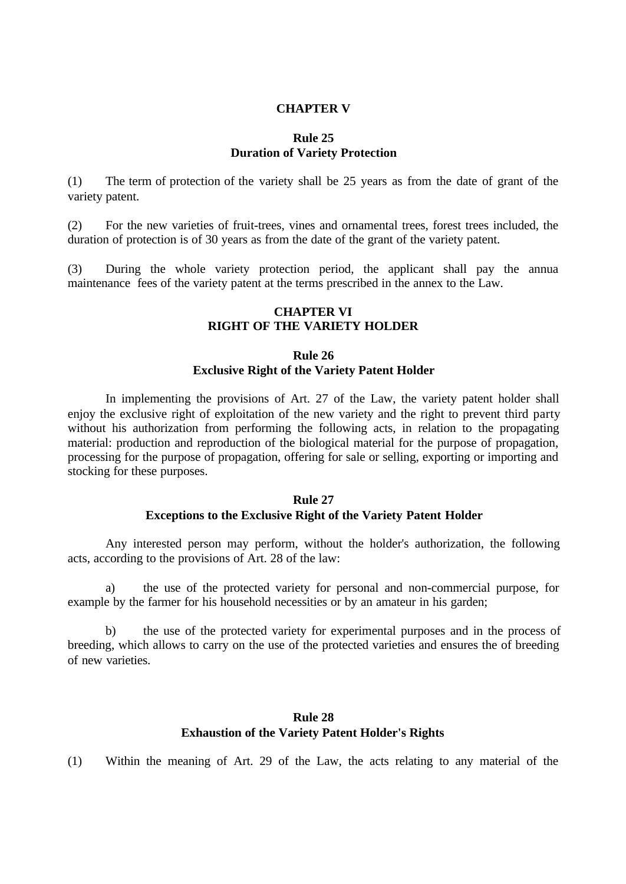#### **CHAPTER V**

#### **Rule 25 Duration of Variety Protection**

(1) The term of protection of the variety shall be 25 years as from the date of grant of the variety patent.

(2) For the new varieties of fruit-trees, vines and ornamental trees, forest trees included, the duration of protection is of 30 years as from the date of the grant of the variety patent.

(3) During the whole variety protection period, the applicant shall pay the annua maintenance fees of the variety patent at the terms prescribed in the annex to the Law.

#### **CHAPTER VI RIGHT OF THE VARIETY HOLDER**

## **Rule 26 Exclusive Right of the Variety Patent Holder**

In implementing the provisions of Art. 27 of the Law, the variety patent holder shall enjoy the exclusive right of exploitation of the new variety and the right to prevent third party without his authorization from performing the following acts, in relation to the propagating material: production and reproduction of the biological material for the purpose of propagation, processing for the purpose of propagation, offering for sale or selling, exporting or importing and stocking for these purposes.

#### **Rule 27 Exceptions to the Exclusive Right of the Variety Patent Holder**

Any interested person may perform, without the holder's authorization, the following acts, according to the provisions of Art. 28 of the law:

a) the use of the protected variety for personal and non-commercial purpose, for example by the farmer for his household necessities or by an amateur in his garden;

b) the use of the protected variety for experimental purposes and in the process of breeding, which allows to carry on the use of the protected varieties and ensures the of breeding of new varieties.

# **Rule 28 Exhaustion of the Variety Patent Holder's Rights**

(1) Within the meaning of Art. 29 of the Law, the acts relating to any material of the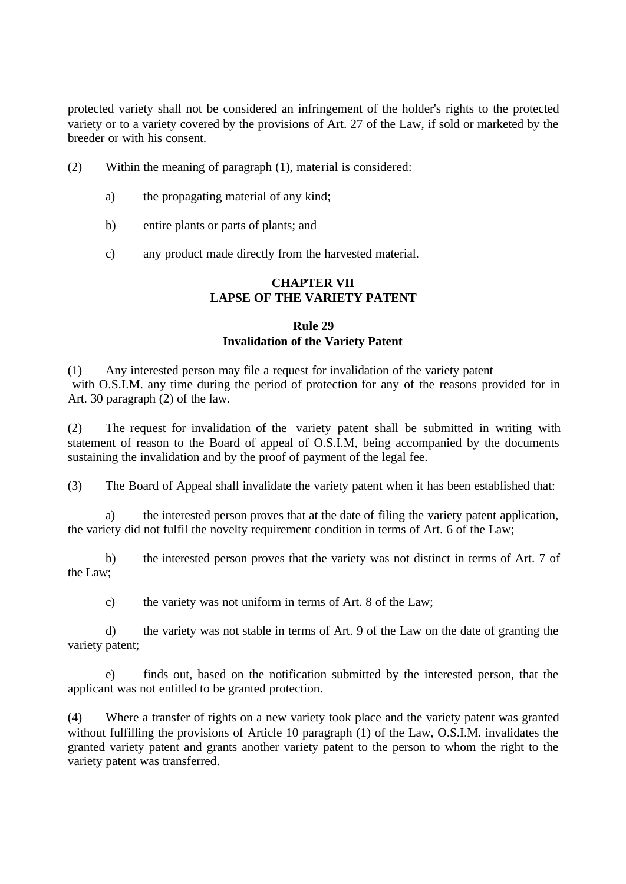protected variety shall not be considered an infringement of the holder's rights to the protected variety or to a variety covered by the provisions of Art. 27 of the Law, if sold or marketed by the breeder or with his consent.

- (2) Within the meaning of paragraph (1), material is considered:
	- a) the propagating material of any kind;
	- b) entire plants or parts of plants; and
	- c) any product made directly from the harvested material.

# **CHAPTER VII LAPSE OF THE VARIETY PATENT**

## **Rule 29 Invalidation of the Variety Patent**

(1) Any interested person may file a request for invalidation of the variety patent with O.S.I.M. any time during the period of protection for any of the reasons provided for in Art. 30 paragraph (2) of the law.

(2) The request for invalidation of the variety patent shall be submitted in writing with statement of reason to the Board of appeal of O.S.I.M, being accompanied by the documents sustaining the invalidation and by the proof of payment of the legal fee.

(3) The Board of Appeal shall invalidate the variety patent when it has been established that:

a) the interested person proves that at the date of filing the variety patent application, the variety did not fulfil the novelty requirement condition in terms of Art. 6 of the Law;

b) the interested person proves that the variety was not distinct in terms of Art. 7 of the Law;

c) the variety was not uniform in terms of Art. 8 of the Law;

d) the variety was not stable in terms of Art. 9 of the Law on the date of granting the variety patent;

e) finds out, based on the notification submitted by the interested person, that the applicant was not entitled to be granted protection.

(4) Where a transfer of rights on a new variety took place and the variety patent was granted without fulfilling the provisions of Article 10 paragraph (1) of the Law, O.S.I.M. invalidates the granted variety patent and grants another variety patent to the person to whom the right to the variety patent was transferred.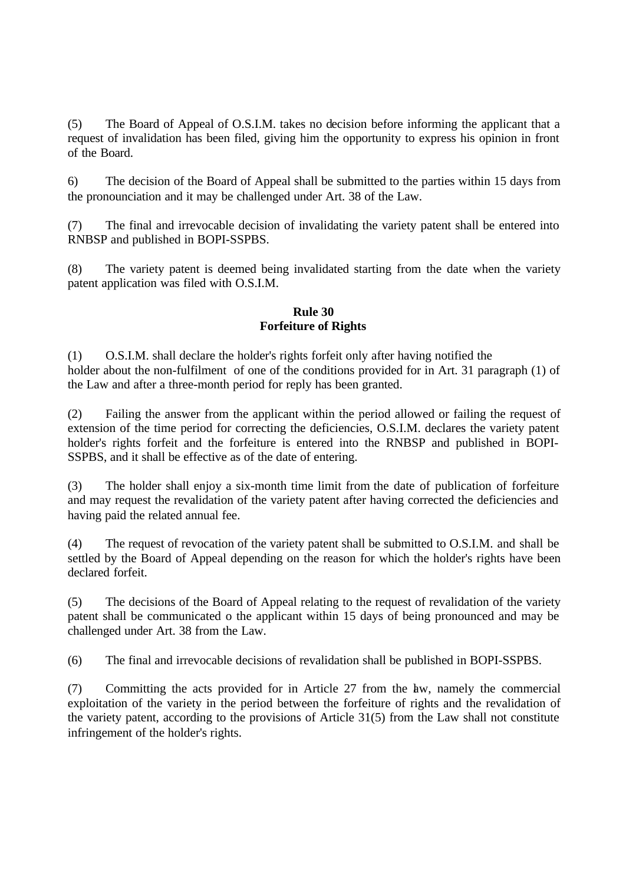(5) The Board of Appeal of O.S.I.M. takes no decision before informing the applicant that a request of invalidation has been filed, giving him the opportunity to express his opinion in front of the Board.

6) The decision of the Board of Appeal shall be submitted to the parties within 15 days from the pronounciation and it may be challenged under Art. 38 of the Law.

(7) The final and irrevocable decision of invalidating the variety patent shall be entered into RNBSP and published in BOPI-SSPBS.

(8) The variety patent is deemed being invalidated starting from the date when the variety patent application was filed with O.S.I.M.

## **Rule 30 Forfeiture of Rights**

(1) O.S.I.M. shall declare the holder's rights forfeit only after having notified the holder about the non-fulfilment of one of the conditions provided for in Art. 31 paragraph (1) of the Law and after a three-month period for reply has been granted.

(2) Failing the answer from the applicant within the period allowed or failing the request of extension of the time period for correcting the deficiencies, O.S.I.M. declares the variety patent holder's rights forfeit and the forfeiture is entered into the RNBSP and published in BOPI-SSPBS, and it shall be effective as of the date of entering.

(3) The holder shall enjoy a six-month time limit from the date of publication of forfeiture and may request the revalidation of the variety patent after having corrected the deficiencies and having paid the related annual fee.

(4) The request of revocation of the variety patent shall be submitted to O.S.I.M. and shall be settled by the Board of Appeal depending on the reason for which the holder's rights have been declared forfeit.

(5) The decisions of the Board of Appeal relating to the request of revalidation of the variety patent shall be communicated o the applicant within 15 days of being pronounced and may be challenged under Art. 38 from the Law.

(6) The final and irrevocable decisions of revalidation shall be published in BOPI-SSPBS.

(7) Committing the acts provided for in Article 27 from the law, namely the commercial exploitation of the variety in the period between the forfeiture of rights and the revalidation of the variety patent, according to the provisions of Article 31(5) from the Law shall not constitute infringement of the holder's rights.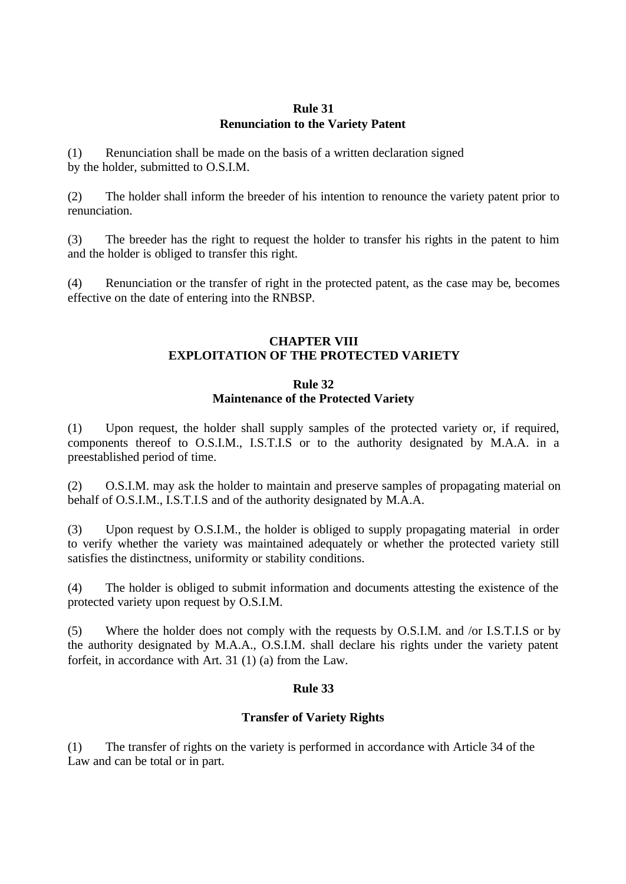## **Rule 31 Renunciation to the Variety Patent**

(1) Renunciation shall be made on the basis of a written declaration signed by the holder, submitted to O.S.I.M.

(2) The holder shall inform the breeder of his intention to renounce the variety patent prior to renunciation.

(3) The breeder has the right to request the holder to transfer his rights in the patent to him and the holder is obliged to transfer this right.

(4) Renunciation or the transfer of right in the protected patent, as the case may be, becomes effective on the date of entering into the RNBSP.

## **CHAPTER VIII EXPLOITATION OF THE PROTECTED VARIETY**

## **Rule 32 Maintenance of the Protected Variety**

(1) Upon request, the holder shall supply samples of the protected variety or, if required, components thereof to O.S.I.M., I.S.T.I.S or to the authority designated by M.A.A. in a preestablished period of time.

(2) O.S.I.M. may ask the holder to maintain and preserve samples of propagating material on behalf of O.S.I.M., I.S.T.I.S and of the authority designated by M.A.A.

(3) Upon request by O.S.I.M., the holder is obliged to supply propagating material in order to verify whether the variety was maintained adequately or whether the protected variety still satisfies the distinctness, uniformity or stability conditions.

(4) The holder is obliged to submit information and documents attesting the existence of the protected variety upon request by O.S.I.M.

(5) Where the holder does not comply with the requests by O.S.I.M. and /or I.S.T.I.S or by the authority designated by M.A.A., O.S.I.M. shall declare his rights under the variety patent forfeit, in accordance with Art. 31 (1) (a) from the Law.

# **Rule 33**

# **Transfer of Variety Rights**

(1) The transfer of rights on the variety is performed in accordance with Article 34 of the Law and can be total or in part.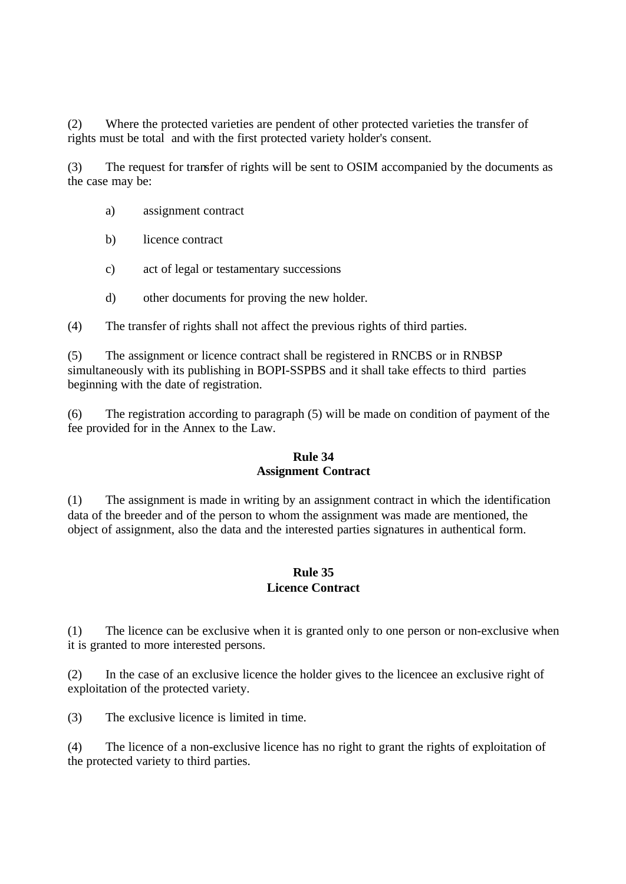(2) Where the protected varieties are pendent of other protected varieties the transfer of rights must be total and with the first protected variety holder's consent.

(3) The request for transfer of rights will be sent to OSIM accompanied by the documents as the case may be:

- a) assignment contract
- b) licence contract
- c) act of legal or testamentary successions
- d) other documents for proving the new holder.

(4) The transfer of rights shall not affect the previous rights of third parties.

(5) The assignment or licence contract shall be registered in RNCBS or in RNBSP simultaneously with its publishing in BOPI-SSPBS and it shall take effects to third parties beginning with the date of registration.

(6) The registration according to paragraph (5) will be made on condition of payment of the fee provided for in the Annex to the Law.

# **Rule 34 Assignment Contract**

(1) The assignment is made in writing by an assignment contract in which the identification data of the breeder and of the person to whom the assignment was made are mentioned, the object of assignment, also the data and the interested parties signatures in authentical form.

# **Rule 35 Licence Contract**

(1) The licence can be exclusive when it is granted only to one person or non-exclusive when it is granted to more interested persons.

(2) In the case of an exclusive licence the holder gives to the licencee an exclusive right of exploitation of the protected variety.

(3) The exclusive licence is limited in time.

(4) The licence of a non-exclusive licence has no right to grant the rights of exploitation of the protected variety to third parties.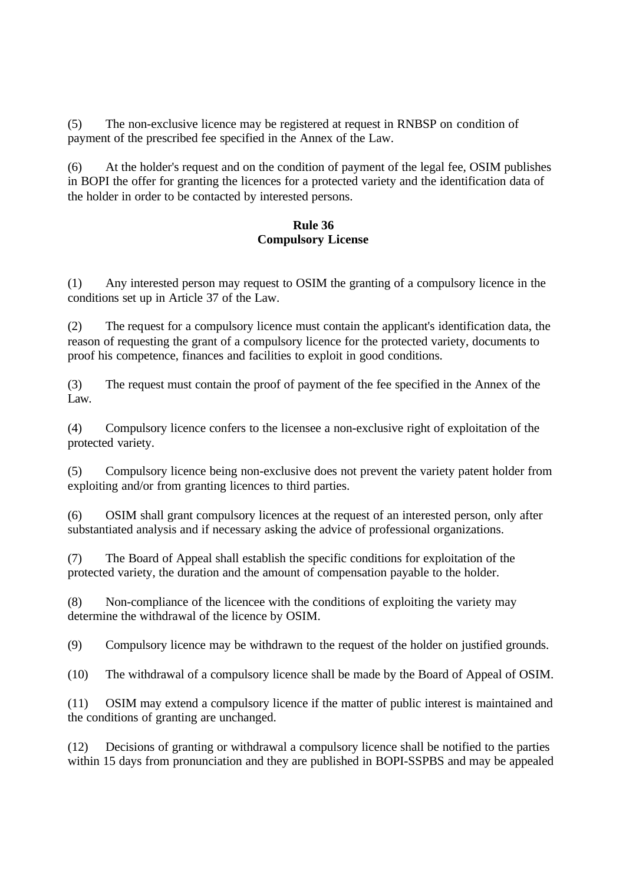(5) The non-exclusive licence may be registered at request in RNBSP on condition of payment of the prescribed fee specified in the Annex of the Law.

(6) At the holder's request and on the condition of payment of the legal fee, OSIM publishes in BOPI the offer for granting the licences for a protected variety and the identification data of the holder in order to be contacted by interested persons.

### **Rule 36 Compulsory License**

(1) Any interested person may request to OSIM the granting of a compulsory licence in the conditions set up in Article 37 of the Law.

(2) The request for a compulsory licence must contain the applicant's identification data, the reason of requesting the grant of a compulsory licence for the protected variety, documents to proof his competence, finances and facilities to exploit in good conditions.

(3) The request must contain the proof of payment of the fee specified in the Annex of the Law.

(4) Compulsory licence confers to the licensee a non-exclusive right of exploitation of the protected variety.

(5) Compulsory licence being non-exclusive does not prevent the variety patent holder from exploiting and/or from granting licences to third parties.

(6) OSIM shall grant compulsory licences at the request of an interested person, only after substantiated analysis and if necessary asking the advice of professional organizations.

(7) The Board of Appeal shall establish the specific conditions for exploitation of the protected variety, the duration and the amount of compensation payable to the holder.

(8) Non-compliance of the licencee with the conditions of exploiting the variety may determine the withdrawal of the licence by OSIM.

(9) Compulsory licence may be withdrawn to the request of the holder on justified grounds.

(10) The withdrawal of a compulsory licence shall be made by the Board of Appeal of OSIM.

(11) OSIM may extend a compulsory licence if the matter of public interest is maintained and the conditions of granting are unchanged.

(12) Decisions of granting or withdrawal a compulsory licence shall be notified to the parties within 15 days from pronunciation and they are published in BOPI-SSPBS and may be appealed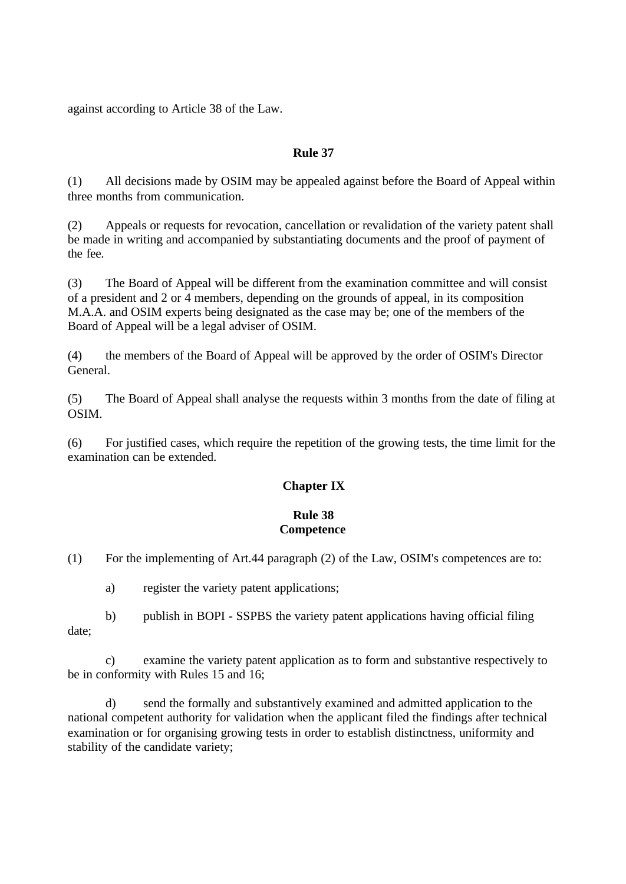against according to Article 38 of the Law.

## **Rule 37**

(1) All decisions made by OSIM may be appealed against before the Board of Appeal within three months from communication.

(2) Appeals or requests for revocation, cancellation or revalidation of the variety patent shall be made in writing and accompanied by substantiating documents and the proof of payment of the fee.

(3) The Board of Appeal will be different from the examination committee and will consist of a president and 2 or 4 members, depending on the grounds of appeal, in its composition M.A.A. and OSIM experts being designated as the case may be; one of the members of the Board of Appeal will be a legal adviser of OSIM.

(4) the members of the Board of Appeal will be approved by the order of OSIM's Director General.

(5) The Board of Appeal shall analyse the requests within 3 months from the date of filing at OSIM.

(6) For justified cases, which require the repetition of the growing tests, the time limit for the examination can be extended.

# **Chapter IX**

## **Rule 38 Competence**

(1) For the implementing of Art.44 paragraph (2) of the Law, OSIM's competences are to:

a) register the variety patent applications;

b) publish in BOPI - SSPBS the variety patent applications having official filing date;

c) examine the variety patent application as to form and substantive respectively to be in conformity with Rules 15 and 16;

send the formally and substantively examined and admitted application to the national competent authority for validation when the applicant filed the findings after technical examination or for organising growing tests in order to establish distinctness, uniformity and stability of the candidate variety;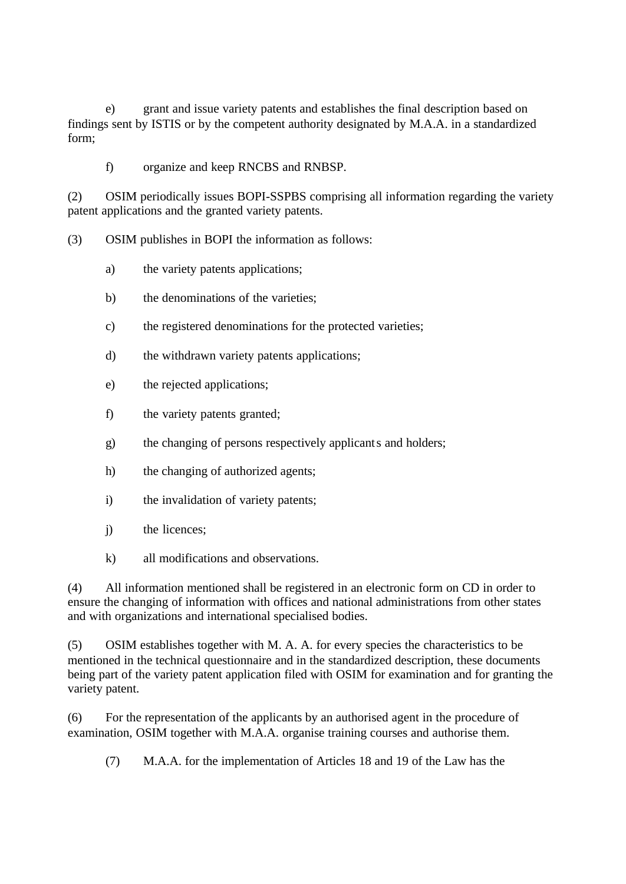e) grant and issue variety patents and establishes the final description based on findings sent by ISTIS or by the competent authority designated by M.A.A. in a standardized form;

f) organize and keep RNCBS and RNBSP.

(2) OSIM periodically issues BOPI-SSPBS comprising all information regarding the variety patent applications and the granted variety patents.

(3) OSIM publishes in BOPI the information as follows:

- a) the variety patents applications;
- b) the denominations of the varieties;
- c) the registered denominations for the protected varieties;
- d) the withdrawn variety patents applications;
- e) the rejected applications;
- f) the variety patents granted;
- g) the changing of persons respectively applicants and holders;
- h) the changing of authorized agents;
- i) the invalidation of variety patents;
- j) the licences;
- k) all modifications and observations.

(4) All information mentioned shall be registered in an electronic form on CD in order to ensure the changing of information with offices and national administrations from other states and with organizations and international specialised bodies.

(5) OSIM establishes together with M. A. A. for every species the characteristics to be mentioned in the technical questionnaire and in the standardized description, these documents being part of the variety patent application filed with OSIM for examination and for granting the variety patent.

(6) For the representation of the applicants by an authorised agent in the procedure of examination, OSIM together with M.A.A. organise training courses and authorise them.

(7) M.A.A. for the implementation of Articles 18 and 19 of the Law has the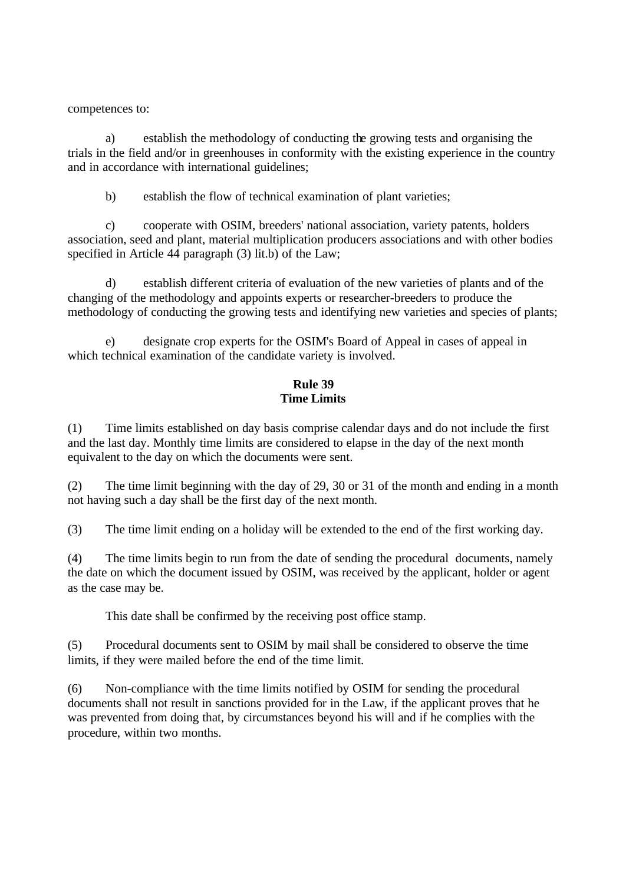competences to:

a) establish the methodology of conducting the growing tests and organising the trials in the field and/or in greenhouses in conformity with the existing experience in the country and in accordance with international guidelines;

b) establish the flow of technical examination of plant varieties;

c) cooperate with OSIM, breeders' national association, variety patents, holders association, seed and plant, material multiplication producers associations and with other bodies specified in Article 44 paragraph (3) lit.b) of the Law;

d) establish different criteria of evaluation of the new varieties of plants and of the changing of the methodology and appoints experts or researcher-breeders to produce the methodology of conducting the growing tests and identifying new varieties and species of plants;

e) designate crop experts for the OSIM's Board of Appeal in cases of appeal in which technical examination of the candidate variety is involved.

## **Rule 39 Time Limits**

(1) Time limits established on day basis comprise calendar days and do not include the first and the last day. Monthly time limits are considered to elapse in the day of the next month equivalent to the day on which the documents were sent.

(2) The time limit beginning with the day of 29, 30 or 31 of the month and ending in a month not having such a day shall be the first day of the next month.

(3) The time limit ending on a holiday will be extended to the end of the first working day.

(4) The time limits begin to run from the date of sending the procedural documents, namely the date on which the document issued by OSIM, was received by the applicant, holder or agent as the case may be.

This date shall be confirmed by the receiving post office stamp.

(5) Procedural documents sent to OSIM by mail shall be considered to observe the time limits, if they were mailed before the end of the time limit.

(6) Non-compliance with the time limits notified by OSIM for sending the procedural documents shall not result in sanctions provided for in the Law, if the applicant proves that he was prevented from doing that, by circumstances beyond his will and if he complies with the procedure, within two months.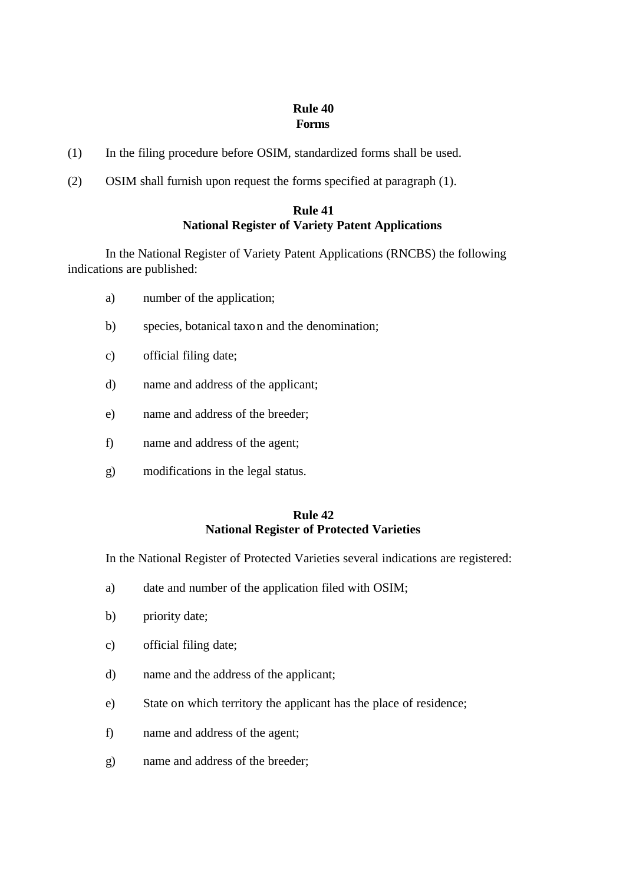## **Rule 40 Forms**

- (1) In the filing procedure before OSIM, standardized forms shall be used.
- (2) OSIM shall furnish upon request the forms specified at paragraph (1).

# **Rule 41 National Register of Variety Patent Applications**

In the National Register of Variety Patent Applications (RNCBS) the following indications are published:

- a) number of the application;
- b) species, botanical taxon and the denomination;
- c) official filing date;
- d) name and address of the applicant;
- e) name and address of the breeder;
- f) name and address of the agent;
- g) modifications in the legal status.

#### **Rule 42 National Register of Protected Varieties**

In the National Register of Protected Varieties several indications are registered:

- a) date and number of the application filed with OSIM;
- b) priority date;
- c) official filing date;
- d) name and the address of the applicant;
- e) State on which territory the applicant has the place of residence;
- f) name and address of the agent;
- g) name and address of the breeder;